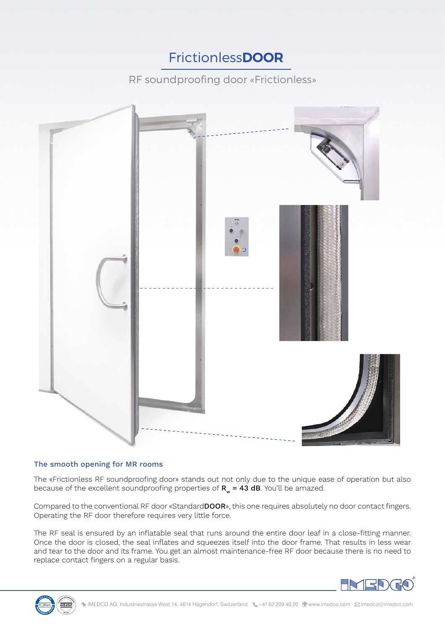# Frictionless**DOOR**

RF soundproofing door «Frictionless»



## The smooth opening for MR rooms

The «Frictionless RF soundproofing door» stands out not only due to the unique ease of operation but also because of the excellent soundproofing properties of  $R_w = 43$  dB. You'll be amazed.

Compared to the conventional RF door «StandardDOOR», this one requires absolutely no door contact fingers. Operating the RF door therefore requires very little force.

The RF seal is ensured by an inflatable seal that runs around the entire door leaf in a close-fitting manner. Once the door is closed, the seal inflates and squeezes itself into the door frame. That results in less wear and tear to the door and its frame. You get an almost maintenance-free RF door because there is no need to replace contact fingers on a regular basis.